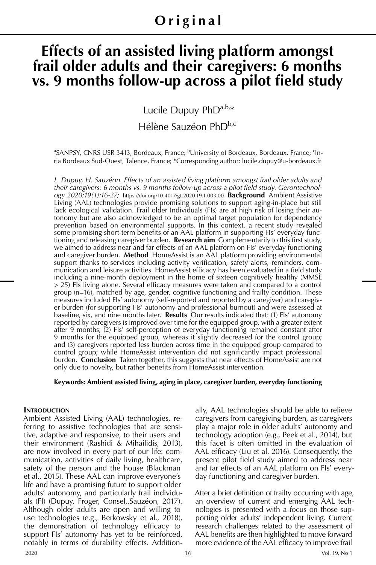# **Effects of an assisted living platform amongst frail older adults and their caregivers: 6 months**  vs. 9 months follow-up across a pilot field study

Lucile Dupuy PhDa,b,\*

Hélène Sauzéon PhD<sup>b,c</sup>

<sup>a</sup>SANPSY, CNRS USR 3413, Bordeaux, France; <sup>b</sup>University of Bordeaux, Bordeaux, France; <sup>c</sup>Inria Bordeaux Sud-Ouest, Talence, France; \*Corresponding author: lucile.dupuy@u-bordeaux.fr

*L. Dupuy, H. Sauzéon. Effects of an assisted living platform amongst frail older adults and their caregivers: 6 months vs. 9 months follow-up across a pilot field study. Gerontechnology 2020;19(1):16-27;* https://doi.org/10.4017/gt.2020.19.1.003.00 **Background** Ambient Assistive Living (AAL) technologies provide promising solutions to support aging-in-place but still lack ecological validation. Frail older Individuals (FIs) are at high risk of losing their autonomy but are also acknowledged to be an optimal target population for dependency prevention based on environmental supports. In this context, a recent study revealed some promising short-term benefits of an AAL platform in supporting FIs' everyday functioning and releasing caregiver burden. **Research aim** Complementarily to this first study, we aimed to address near and far effects of an AAL platform on FIs' everyday functioning and caregiver burden. **Method** HomeAssist is an AAL platform providing environmental support thanks to services including activity verification, safety alerts, reminders, communication and leisure activities. HomeAssist efficacy has been evaluated in a field study including a nine-month deployment in the home of sixteen cognitively healthy (MMSE > 25) FIs living alone. Several efficacy measures were taken and compared to a control group (n=16), matched by age, gender, cognitive functioning and frailty condition. These measures included FIs' autonomy (self-reported and reported by a caregiver) and caregiver burden (for supporting FIs' autonomy and professional burnout) and were assessed at baseline, six, and nine months later. **Results** Our results indicated that: (1) FIs' autonomy reported by caregivers is improved over time for the equipped group, with a greater extent after 9 months; (2) FIs' self-perception of everyday functioning remained constant after 9 months for the equipped group, whereas it slightly decreased for the control group; and (3) caregivers reported less burden across time in the equipped group compared to control group; while HomeAssist intervention did not significantly impact professional burden. **Conclusion** Taken together, this suggests that near effects of HomeAssist are not only due to novelty, but rather benefits from HomeAssist intervention.

#### **Keywords: Ambient assisted living, aging in place, caregiver burden, everyday functioning**

#### **INTRODUCTION**

Ambient Assisted Living (AAL) technologies, referring to assistive technologies that are sensitive, adaptive and responsive, to their users and their environment (Rashidi & Mihailidis, 2013), are now involved in every part of our life: communication, activities of daily living, healthcare, safety of the person and the house (Blackman et al., 2015). These AAL can improve everyone's life and have a promising future to support older adults' autonomy, and particularly frail individuals (FI) (Dupuy, Froger, Consel,.Sauzéon, 2017). Although older adults are open and willing to use technologies (e.g., Berkowsky et al., 2018), the demonstration of technology efficacy to support FIs' autonomy has yet to be reinforced, notably in terms of durability effects. Additionally, AAL technologies should be able to relieve caregivers from caregiving burden, as caregivers play a major role in older adults' autonomy and technology adoption (e.g., Peek et al., 2014), but this facet is often omitted in the evaluation of AAL efficacy (Liu et al. 2016). Consequently, the present pilot field study aimed to address near and far effects of an AAL platform on FIs' everyday functioning and caregiver burden.

After a brief definition of frailty occurring with age, an overview of current and emerging AAL technologies is presented with a focus on those supporting older adults' independent living. Current research challenges related to the assessment of AAL benefits are then highlighted to move forward more evidence of the AAL efficacy to improve frail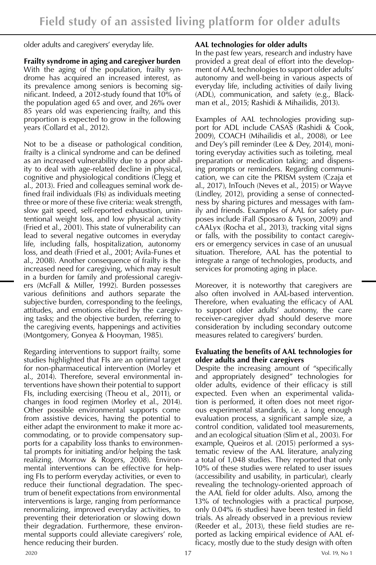older adults and caregivers' everyday life.

# **Frailty syndrome in aging and caregiver burden**

With the aging of the population, frailty syndrome has acquired an increased interest, as its prevalence among seniors is becoming significant. Indeed, a 2012-study found that 10% of the population aged 65 and over, and 26% over 85 years old was experiencing frailty, and this proportion is expected to grow in the following years (Collard et al., 2012).

Not to be a disease or pathological condition, frailty is a clinical syndrome and can be defined as an increased vulnerability due to a poor ability to deal with age-related decline in physical, cognitive and physiological conditions (Clegg et al., 2013). Fried and colleagues seminal work defined frail individuals (FIs) as individuals meeting three or more of these five criteria: weak strength, slow gait speed, self-reported exhaustion, unintentional weight loss, and low physical activity (Fried et al., 2001). This state of vulnerability can lead to several negative outcomes in everyday life, including falls, hospitalization, autonomy loss, and death (Fried et al., 2001; Avila-Funes et al., 2008). Another consequence of frailty is the increased need for caregiving, which may result in a burden for family and professional caregivers (McFall & Miller, 1992). Burden possesses various definitions and authors separate the subjective burden, corresponding to the feelings, attitudes, and emotions elicited by the caregiving tasks; and the objective burden, referring to the caregiving events, happenings and activities (Montgomery, Gonyea & Hooyman, 1985).

Regarding interventions to support frailty, some studies highlighted that FIs are an optimal target for non-pharmaceutical intervention (Morley et al., 2014). Therefore, several environmental interventions have shown their potential to support FIs, including exercising (Theou et al., 2011), or changes in food regimen (Morley et al., 2014). Other possible environmental supports come from assistive devices, having the potential to either adapt the environment to make it more accommodating, or to provide compensatory supports for a capability loss thanks to environmental prompts for initiating and/or helping the task realizing. (Morrow & Rogers, 2008). Environmental interventions can be effective for helping FIs to perform everyday activities, or even to reduce their functional degradation. The spectrum of benefit expectations from environmental interventions is large, ranging from performance renormalizing, improved everyday activities, to preventing their deterioration or slowing down their degradation. Furthermore, these environmental supports could alleviate caregivers' role, hence reducing their burden.

# **AAL technologies for older adults**

In the past few years, research and industry have provided a great deal of effort into the development of AAL technologies to support older adults' autonomy and well-being in various aspects of everyday life, including activities of daily living (ADL), communication, and safety (e.g., Blackman et al., 2015; Rashidi & Mihailidis, 2013).

Examples of AAL technologies providing support for ADL include CASAS (Rashidi & Cook, 2009), COACH (Mihailidis et al., 2008), or Lee and Dey's pill reminder (Lee & Dey, 2014), monitoring everyday activities such as toileting, meal preparation or medication taking; and dispensing prompts or reminders. Regarding communication, we can cite the PRISM system (Czaja et al., 2017), InTouch (Neves et al., 2015) or Wayve (Lindley, 2012), providing a sense of connectedness by sharing pictures and messages with family and friends. Examples of AAL for safety purposes include iFall (Sposaro & Tyson, 2009) and cAALyx (Rocha et al., 2013), tracking vital signs or falls, with the possibility to contact caregivers or emergency services in case of an unusual situation. Therefore, AAL has the potential to integrate a range of technologies, products, and services for promoting aging in place.

Moreover, it is noteworthy that caregivers are also often involved in AAL-based intervention. Therefore, when evaluating the efficacy of AAL to support older adults' autonomy, the care receiver-caregiver dyad should deserve more consideration by including secondary outcome measures related to caregivers' burden.

## **Evaluating the benefits of AAL technologies for older adults and their caregivers**

Despite the increasing amount of "specifically and appropriately designed" technologies for older adults, evidence of their efficacy is still expected. Even when an experimental validation is performed, it often does not meet rigorous experimental standards, i.e. a long enough evaluation process, a significant sample size, a control condition, validated tool measurements, and an ecological situation (Slim et al., 2003). For example, Queiros et al. (2015) performed a systematic review of the AAL literature, analyzing a total of 1,048 studies. They reported that only 10% of these studies were related to user issues (accessibility and usability, in particular), clearly revealing the technology-oriented approach of the AAL field for older adults. Also, among the 13% of technologies with a practical purpose, only 0.04% (6 studies) have been tested in field trials. As already observed in a previous review (Reeder et al., 2013), these field studies are reported as lacking empirical evidence of AAL efficacy, mostly due to the study design with often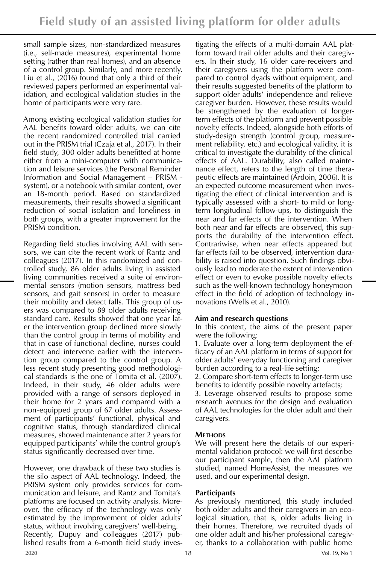small sample sizes, non-standardized measures (i.e., self-made measures), experimental home setting (rather than real homes), and an absence of a control group. Similarly, and more recently, Liu et al., (2016) found that only a third of their reviewed papers performed an experimental validation, and ecological validation studies in the home of participants were very rare.

Among existing ecological validation studies for AAL benefits toward older adults, we can cite the recent randomized controlled trial carried out in the PRISM trial (Czaja et al., 2017). In their field study, 300 older adults benefitted at home either from a mini-computer with communication and leisure services (the Personal Reminder Information and Social Management – PRISM system), or a notebook with similar content, over an 18-month period. Based on standardized measurements, their results showed a significant reduction of social isolation and loneliness in both groups, with a greater improvement for the PRISM condition.

Regarding field studies involving AAL with sensors, we can cite the recent work of Rantz and colleagues (2017). In this randomized and controlled study, 86 older adults living in assisted living communities received a suite of environmental sensors (motion sensors, mattress bed sensors, and gait sensors) in order to measure their mobility and detect falls. This group of users was compared to 89 older adults receiving standard care. Results showed that one year later the intervention group declined more slowly than the control group in terms of mobility and that in case of functional decline, nurses could detect and intervene earlier with the intervention group compared to the control group. A less recent study presenting good methodological standards is the one of Tomita et al. (2007). Indeed, in their study, 46 older adults were provided with a range of sensors deployed in their home for 2 years and compared with a non-equipped group of 67 older adults. Assessment of participants' functional, physical and cognitive status, through standardized clinical measures, showed maintenance after 2 years for equipped participants' while the control group's status significantly decreased over time.

However, one drawback of these two studies is the silo aspect of AAL technology. Indeed, the PRISM system only provides services for communication and leisure, and Rantz and Tomita's platforms are focused on activity analysis. Moreover, the efficacy of the technology was only estimated by the improvement of older adults' status, without involving caregivers' well-being. Recently, Dupuy and colleagues (2017) published results from a 6-month field study inves-

tigating the effects of a multi-domain AAL platform toward frail older adults and their caregivers. In their study, 16 older care-receivers and their caregivers using the platform were compared to control dyads without equipment, and their results suggested benefits of the platform to support older adults' independence and relieve caregiver burden. However, these results would be strengthened by the evaluation of longerterm effects of the platform and prevent possible novelty effects. Indeed, alongside both efforts of study-design strength (control group, measurement reliability, etc.) and ecological validity, it is critical to investigate the durability of the clinical effects of AAL. Durability, also called maintenance effect, refers to the length of time therapeutic effects are maintained (Ardoin, 2006). It is an expected outcome measurement when investigating the effect of clinical intervention and is typically assessed with a short- to mild or longterm longitudinal follow-ups, to distinguish the near and far effects of the intervention. When both near and far effects are observed, this supports the durability of the intervention effect. Contrariwise, when near effects appeared but far effects fail to be observed, intervention durability is raised into question. Such findings obviously lead to moderate the extent of intervention effect or even to evoke possible novelty effects such as the well-known technology honeymoon effect in the field of adoption of technology innovations (Wells et al., 2010).

# **Aim and research questions**

In this context, the aims of the present paper were the following:

1. Evaluate over a long-term deployment the efficacy of an AAL platform in terms of support for older adults' everyday functioning and caregiver burden according to a real-life setting;

2. Compare short-term effects to longer-term use benefits to identify possible novelty artefacts;

3. Leverage observed results to propose some research avenues for the design and evaluation of AAL technologies for the older adult and their caregivers.

## **Methods**

We will present here the details of our experimental validation protocol: we will first describe our participant sample, then the AAL platform studied, named HomeAssist, the measures we used, and our experimental design.

# **Participants**

As previously mentioned, this study included both older adults and their caregivers in an ecological situation, that is, older adults living in their homes. Therefore, we recruited dyads of one older adult and his/her professional caregiver, thanks to a collaboration with public home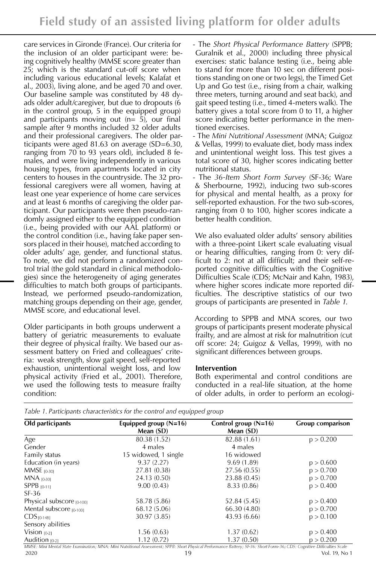care services in Gironde (France). Our criteria for the inclusion of an older participant were: being cognitively healthy (MMSE score greater than 25; which is the standard cut-off score when including various educational levels; Kalafat et al., 2003), living alone, and be aged 70 and over. Our baseline sample was constituted by 48 dyads older adult/caregiver, but due to dropouts (6 in the control group, 5 in the equipped group) and participants moving out  $(n= 5)$ , our final sample after 9 months included 32 older adults and their professional caregivers. The older participants were aged 81.63 on average (SD=6.30, ranging from 70 to 93 years old), included 8 females, and were living independently in various housing types, from apartments located in city centers to houses in the countryside. The 32 professional caregivers were all women, having at least one year experience of home care services and at least 6 months of caregiving the older participant. Our participants were then pseudo-randomly assigned either to the equipped condition (i.e., being provided with our AAL platform) or the control condition (i.e., having fake paper sensors placed in their house), matched according to older adults' age, gender, and functional status. To note, we did not perform a randomized control trial (the gold standard in clinical methodologies) since the heterogeneity of aging generates difficulties to match both groups of participants. Instead, we performed pseudo-randomization, matching groups depending on their age, gender, MMSE score, and educational level.

Older participants in both groups underwent a battery of geriatric measurements to evaluate their degree of physical frailty. We based our assessment battery on Fried and colleagues' criteria: weak strength, slow gait speed, self-reported exhaustion, unintentional weight loss, and low physical activity (Fried et al., 2001). Therefore, we used the following tests to measure frailty condition:

- The *Short Physical Performance Battery* (SPPB; Guralnik et al., 2000) including three physical exercises: static balance testing (i.e., being able to stand for more than 10 sec on different positions standing on one or two legs), the Timed Get Up and Go test (i.e., rising from a chair, walking three meters, turning around and seat back), and gait speed testing (i.e., timed 4-meters walk). The battery gives a total score from 0 to 11, a higher score indicating better performance in the mentioned exercises.

- The *Mini Nutritional Assessment* (MNA; Guigoz & Vellas, 1999) to evaluate diet, body mass index and unintentional weight loss. This test gives a total score of 30, higher scores indicating better nutritional status.

- The *36-Item Short Form Survey* (SF-36; Ware & Sherbourne, 1992), inducing two sub-scores for physical and mental health, as a proxy for self-reported exhaustion. For the two sub-scores, ranging from 0 to 100, higher scores indicate a better health condition.

We also evaluated older adults' sensory abilities with a three-point Likert scale evaluating visual or hearing difficulties, ranging from 0: very difficult to 2: not at all difficult; and their self-reported cognitive difficulties with the Cognitive Difficulties Scale (CDS; McNair and Kahn, 1983), where higher scores indicate more reported difficulties. The descriptive statistics of our two groups of participants are presented in *Table 1*.

According to SPPB and MNA scores, our two groups of participants present moderate physical frailty, and are almost at risk for malnutrition (cut off score: 24; Guigoz & Vellas, 1999), with no significant differences between groups.

#### **Intervention**

Both experimental and control conditions are conducted in a real-life situation, at the home of older adults, in order to perform an ecologi-

|  | Table 1. Participants characteristics for the control and equipped group |  |  |
|--|--------------------------------------------------------------------------|--|--|
|  |                                                                          |  |  |

| Old participants             | Equipped group $(N=16)$ | Control group $(N=16)$ | Group comparison |  |
|------------------------------|-------------------------|------------------------|------------------|--|
|                              | Mean (SD)               | Mean (SD)              |                  |  |
| Age                          | 80.38 (1.52)            | 82.88 (1.61)           | p > 0.200        |  |
| Gender                       | 4 males                 | 4 males                |                  |  |
| Family status                | 15 widowed, 1 single    | 16 widowed             |                  |  |
| Education (in years)         | 9.37(2.27)              | 9.69(1.89)             | p > 0.600        |  |
| $MMSE$ [0-30]                | 27.81 (0.38)            | 27.56 (0.55)           | p > 0.700        |  |
| $MNA_{[0-30]}$               | 24.13 (0.50)            | 23.88 (0.45)           | p > 0.700        |  |
| $SPPB_{10-111}$              | 9.00(0.43)              | 8.33(0.86)             | p > 0.400        |  |
| $SF-36$                      |                         |                        |                  |  |
| Physical subscore $[0.100]$  | 58.78 (5.86)            | 52.84 (5.45)           | p > 0.400        |  |
| Mental subscore $_{[0:100]}$ | 68.12 (5.06)            | 66.30 (4.80)           | p > 0.700        |  |
| $CDS[O-148]$                 | 30.97 (3.85)            | 43.93 (6.66)           | p > 0.100        |  |
| Sensory abilities            |                         |                        |                  |  |
| Vision $[0-2]$               | 1.56(0.63)              | 1.37(0.62)             | p > 0.400        |  |
| Audition $_{[0.2]}$          | 1.12(0.72)              | 1.37(0.50)             | p > 0.200        |  |

MMSE: Mini Mental State Examination; MNA: Mini Nutritional Assessment; SPPB: Short Physical Performance Battery; SF-36: Short Form-36; CDS: Cognitive Difficulties Scale 2020 19 Vol. 19, No 1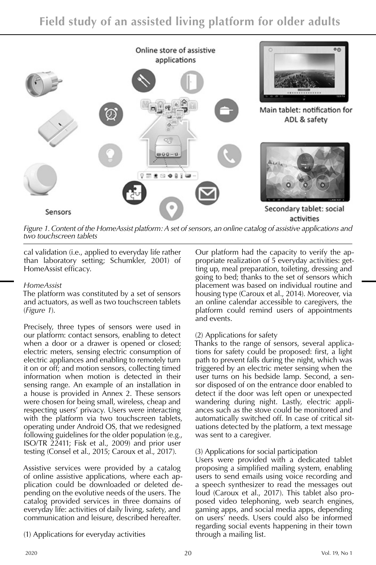

*Figure 1. Content of the HomeAssist platform: A set of sensors, an online catalog of assistive applications and two touchscreen tablets*

cal validation (i.e., applied to everyday life rather than laboratory setting; Schumkler, 2001) of HomeAssist efficacy.

## *HomeAssist*

The platform was constituted by a set of sensors and actuators, as well as two touchscreen tablets (*Figure 1*).

Precisely, three types of sensors were used in our platform: contact sensors, enabling to detect when a door or a drawer is opened or closed; electric meters, sensing electric consumption of electric appliances and enabling to remotely turn it on or off; and motion sensors, collecting timed information when motion is detected in their sensing range. An example of an installation in a house is provided in Annex 2. These sensors were chosen for being small, wireless, cheap and respecting users' privacy. Users were interacting with the platform via two touchscreen tablets, operating under Android OS, that we redesigned following guidelines for the older population (e.g., ISO/TR 22411; Fisk et al., 2009) and prior user testing (Consel et al., 2015; Caroux et al., 2017).

Assistive services were provided by a catalog of online assistive applications, where each application could be downloaded or deleted depending on the evolutive needs of the users. The catalog provided services in three domains of everyday life: activities of daily living, safety, and communication and leisure, described hereafter.

(1) Applications for everyday activities

Our platform had the capacity to verify the appropriate realization of 5 everyday activities: getting up, meal preparation, toileting, dressing and going to bed; thanks to the set of sensors which placement was based on individual routine and housing type (Caroux et al., 2014). Moreover, via an online calendar accessible to caregivers, the platform could remind users of appointments and events.

# (2) Applications for safety

Thanks to the range of sensors, several applications for safety could be proposed: first, a light path to prevent falls during the night, which was triggered by an electric meter sensing when the user turns on his bedside lamp. Second, a sensor disposed of on the entrance door enabled to detect if the door was left open or unexpected wandering during night. Lastly, electric appliances such as the stove could be monitored and automatically switched off. In case of critical situations detected by the platform, a text message was sent to a caregiver.

## (3) Applications for social participation

Users were provided with a dedicated tablet proposing a simplified mailing system, enabling users to send emails using voice recording and a speech synthesizer to read the messages out loud (Caroux et al., 2017). This tablet also proposed video telephoning, web search engines, gaming apps, and social media apps, depending on users' needs. Users could also be informed regarding social events happening in their town through a mailing list.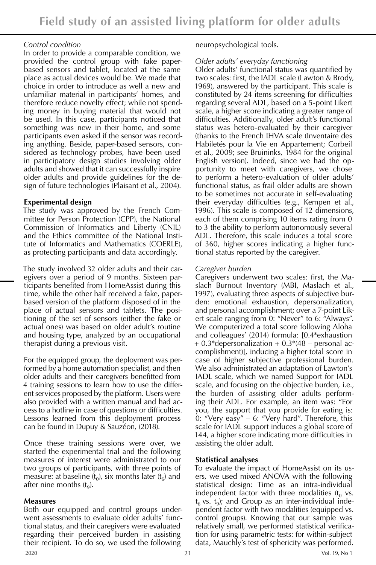#### *Control condition*

In order to provide a comparable condition, we provided the control group with fake paperbased sensors and tablet, located at the same place as actual devices would be. We made that choice in order to introduce as well a new and unfamiliar material in participants' homes, and therefore reduce novelty effect; while not spending money in buying material that would not be used. In this case, participants noticed that something was new in their home, and some participants even asked if the sensor was recording anything. Beside, paper-based sensors, considered as technology probes, have been used in participatory design studies involving older adults and showed that it can successfully inspire older adults and provide guidelines for the design of future technologies (Plaisant et al., 2004).

## **Experimental design**

The study was approved by the French Committee for Person Protection (CPP), the National Commission of Informatics and Liberty (CNIL) and the Ethics committee of the National Institute of Informatics and Mathematics (COERLE), as protecting participants and data accordingly.

The study involved 32 older adults and their caregivers over a period of 9 months. Sixteen participants benefited from HomeAssist during this time, while the other half received a fake, paperbased version of the platform disposed of in the place of actual sensors and tablets. The positioning of the set of sensors (either the fake or actual ones) was based on older adult's routine and housing type, analyzed by an occupational therapist during a previous visit.

For the equipped group, the deployment was performed by a home automation specialist, and then older adults and their caregivers benefitted from 4 training sessions to learn how to use the different services proposed by the platform. Users were also provided with a written manual and had access to a hotline in case of questions or difficulties. Lessons learned from this deployment process can be found in Dupuy & Sauzéon, (2018).

Once these training sessions were over, we started the experimental trial and the following measures of interest were administrated to our two groups of participants, with three points of measure: at baseline  $(t_0)$ , six months later  $(t_6)$  and after nine months  $(t<sub>9</sub>)$ .

## **Measures**

Both our equipped and control groups underwent assessments to evaluate older adults' functional status, and their caregivers were evaluated regarding their perceived burden in assisting their recipient. To do so, we used the following

neuropsychological tools.

# *Older adults' everyday functioning*

Older adults' functional status was quantified by two scales: first, the IADL scale (Lawton & Brody, 1969), answered by the participant. This scale is constituted by 24 items screening for difficulties regarding several ADL, based on a 5-point Likert scale, a higher score indicating a greater range of difficulties. Additionally, older adult's functional status was hetero-evaluated by their caregiver (thanks to the French IHVA scale (Inventaire des Habiletés pour la Vie en Appartement; Corbeil et al., 2009; see Bruininks, 1984 for the original English version). Indeed, since we had the opportunity to meet with caregivers, we chose to perform a hetero-evaluation of older adults' functional status, as frail older adults are shown to be sometimes not accurate in self-evaluating their everyday difficulties (e.g., Kempen et al., 1996). This scale is composed of 12 dimensions, each of them comprising 10 items rating from 0 to 3 the ability to perform autonomously several ADL. Therefore, this scale induces a total score of 360, higher scores indicating a higher functional status reported by the caregiver.

## *Caregiver burden*

Caregivers underwent two scales: first, the Maslach Burnout Inventory (MBI, Maslach et al., 1997), evaluating three aspects of subjective burden: emotional exhaustion, depersonalization, and personal accomplishment; over a 7-point Likert scale ranging from 0: "Never" to 6: "Always". We computerized a total score following Aloha and colleagues' (2014) formula: [0.4\*exhaustion  $+ 0.3*$ depersonalization  $+ 0.3*$ (48 – personal accomplishment)], inducing a higher total score in case of higher subjective professional burden. We also administrated an adaptation of Lawton's IADL scale, which we named Support for IADL scale, and focusing on the objective burden, i.e., the burden of assisting older adults performing their ADL. For example, an item was: "For you, the support that you provide for eating is: 0: "Very easy" – 6: "Very hard". Therefore, this scale for IADL support induces a global score of 144, a higher score indicating more difficulties in assisting the older adult.

# **Statistical analyses**

To evaluate the impact of HomeAssist on its users, we used mixed ANOVA with the following statistical design: Time as an intra-individual independent factor with three modalities  $(t_0, v_s)$ .  $t<sub>6</sub>$  vs.  $t<sub>9</sub>$ ; and Group as an inter-individual independent factor with two modalities (equipped vs. control groups). Knowing that our sample was relatively small, we performed statistical verification for using parametric tests: for within-subject data, Mauchly's test of sphericity was performed.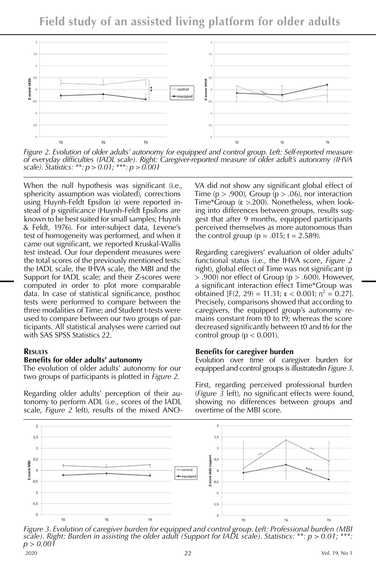**Field study of an assisted living platform for older adults**



*Figure 2. Evolution of older adults' autonomy for equipped and control group. Left: Self-reported measure of everyday difficulties (IADL scale). Right: Caregiver-reported measure of older adult's autonomy (IHVA scale). Statistics: \*\*: p > 0.01; \*\*\*: p > 0.001*

When the null hypothesis was significant (i.e., sphericity assumption was violated), corrections using Huynh-Feldt Epsilon (ε) were reported instead of p significance (Huynh-Feldt Epsilons are known to be best suited for small samples; Huynh & Feldt, 1976). For inter-subject data, Levene's test of homogeneity was performed, and when it came out significant, we reported Kruskal-Wallis test instead. Our four dependent measures were the total scores of the previously mentioned tests: the IADL scale, the IHVA scale, the MBI and the Support for IADL scale; and their Z-scores were computed in order to plot more comparable data. In case of statistical significance, posthoc tests were performed to compare between the three modalities of Time; and Student t-tests were used to compare between our two groups of participants. All statistical analyses were carried out with SAS SPSS Statistics 22.

#### **Results**

#### **Benefits for older adults' autonomy**

The evolution of older adults' autonomy for our two groups of participants is plotted in *Figure 2*.

Regarding older adults' perception of their autonomy to perform ADL (i.e., scores of the IADL scale, *Figure 2* left), results of the mixed ANO- VA did not show any significant global effect of Time ( $p > .900$ ), Group ( $p > .06$ ), nor interaction Time\*Group (ε >.200). Nonetheless, when looking into differences between groups, results suggest that after 9 months, equipped participants perceived themselves as more autonomous than the control group ( $p = .015$ ; t = 2.589).

Regarding caregivers' evaluation of older adults' functional status (i.e., the IHVA score, *Figure 2* right), global effect of Time was not significant (p  $>$  .900) nor effect of Group ( $p >$  .600). However, a significant interaction effect Time\*Group was obtained [F(2, 29) = 11.31;  $\epsilon$  < 0.001;  $\eta^2$  = 0.27]. Precisely, comparisons showed that according to caregivers, the equipped group's autonomy remains constant from t0 to t9; whereas the score decreased significantly between t0 and t6 for the control group ( $p < 0.001$ ).

#### **Benefits for caregiver burden**

Evolution over time of caregiver burden for equipped and control groups is illustratedin *Figure 3*.

First, regarding perceived professional burden (*Figure 3* left), no significant effects were found, showing no differences between groups and overtime of the MBI score.



*Figure 3. Evolution of caregiver burden for equipped and control group. Left: Professional burden (MBI scale). Right: Burden in assisting the older adult (Support for IADL scale). Statistics: \*\*: p > 0.01; \*\*\*: p > 0.001*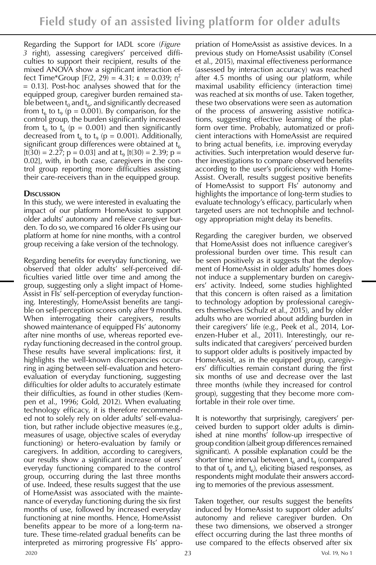Regarding the Support for IADL score (*Figure 3* right), assessing caregivers' perceived difficulties to support their recipient, results of the mixed ANOVA show a significant interaction effect Time\*Group  $[F(2, 29) = 4.31; \varepsilon = 0.039; \eta^2]$ = 0.13]. Post-hoc analyses showed that for the equipped group, caregiver burden remained stable between  $t_0$  and  $t_6$ , and significantly decreased from  $t_6$  to  $t_9$  (p = 0.001). By comparison, for the control group, the burden significantly increased from  $t_0$  to  $t_6$  (p = 0.001) and then significantly decreased from  $t_6$  to  $t_9$  (p = 0.001). Additionally, significant group differences were obtained at  $t_{6}$ [t(30) = 2.27; p = 0.03] and at t<sub>9</sub> [t(30) = 2.39; p = 0.02], with, in both case, caregivers in the control group reporting more difficulties assisting their care-receivers than in the equipped group.

# **Discussion**

In this study, we were interested in evaluating the impact of our platform HomeAssist to support older adults' autonomy and relieve caregiver burden. To do so, we compared 16 older FIs using our platform at home for nine months, with a control group receiving a fake version of the technology.

Regarding benefits for everyday functioning, we observed that older adults' self-perceived difficulties varied little over time and among the group, suggesting only a slight impact of Home-Assist in FIs' self-perception of everyday functioning. Interestingly, HomeAssist benefits are tangible on self-perception scores only after 9 months. When interrogating their caregivers, results showed maintenance of equipped FIs' autonomy after nine months of use, whereas reported everyday functioning decreased in the control group. These results have several implications: first, it highlights the well-known discrepancies occurring in aging between self-evaluation and heteroevaluation of everyday functioning, suggesting difficulties for older adults to accurately estimate their difficulties, as found in other studies (Kempen et al., 1996; Gold, 2012). When evaluating technology efficacy, it is therefore recommended not to solely rely on older adults' self-evaluation, but rather include objective measures (e.g., measures of usage, objective scales of everyday functioning) or hetero-evaluation by family or caregivers. In addition, according to caregivers, our results show a significant increase of users' everyday functioning compared to the control group, occurring during the last three months of use. Indeed, these results suggest that the use of HomeAssist was associated with the maintenance of everyday functioning during the six first months of use, followed by increased everyday functioning at nine months. Hence, HomeAssist benefits appear to be more of a long-term nature. These time-related gradual benefits can be interpreted as mirroring progressive FIs' appro-

priation of HomeAssist as assistive devices. In a previous study on HomeAssist usability (Consel et al., 2015), maximal effectiveness performance (assessed by interaction accuracy) was reached after 4.5 months of using our platform, while maximal usability efficiency (interaction time) was reached at six months of use. Taken together, these two observations were seen as automation of the process of answering assistive notifications, suggesting effective learning of the platform over time. Probably, automatized or proficient interactions with HomeAssist are required to bring actual benefits, i.e. improving everyday activities. Such interpretation would deserve further investigations to compare observed benefits according to the user's proficiency with Home-Assist. Overall, results suggest positive benefits of HomeAssist to support FIs' autonomy and highlights the importance of long-term studies to evaluate technology's efficacy, particularly when targeted users are not technophile and technology appropriation might delay its benefits.

Regarding the caregiver burden, we observed that HomeAssist does not influence caregiver's professional burden over time. This result can be seen positively as it suggests that the deployment of HomeAssist in older adults' homes does not induce a supplementary burden on caregivers' activity. Indeed, some studies highlighted that this concern is often raised as a limitation to technology adoption by professional caregivers themselves (Schulz et al., 2015), and by older adults who are worried about adding burden in their caregivers' life (e.g., Peek et al., 2014, Lorenzen-Huber et al., 2011). Interestingly, our results indicated that caregivers' perceived burden to support older adults is positively impacted by HomeAssist, as in the equipped group, caregivers' difficulties remain constant during the first six months of use and decrease over the last three months (while they increased for control group), suggesting that they become more comfortable in their role over time.

It is noteworthy that surprisingly, caregivers' perceived burden to support older adults is diminished at nine months' follow-up irrespective of group condition (albeit group differences remained significant). A possible explanation could be the shorter time interval between  $t<sub>6</sub>$  and  $t<sub>9</sub>$  (compared to that of  $t_0$  and  $t_6$ ), eliciting biased responses, as respondents might modulate their answers according to memories of the previous assessment.

Taken together, our results suggest the benefits induced by HomeAssist to support older adults' autonomy and relieve caregiver burden. On these two dimensions, we observed a stronger effect occurring during the last three months of use compared to the effects observed after six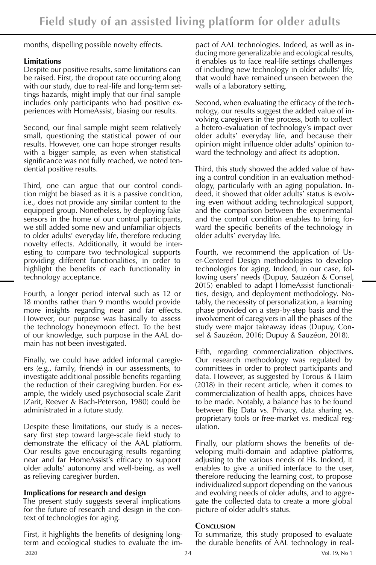months, dispelling possible novelty effects.

## **Limitations**

Despite our positive results, some limitations can be raised. First, the dropout rate occurring along with our study, due to real-life and long-term settings hazards, might imply that our final sample includes only participants who had positive experiences with HomeAssist, biasing our results.

Second, our final sample might seem relatively small, questioning the statistical power of our results. However, one can hope stronger results with a bigger sample, as even when statistical significance was not fully reached, we noted tendential positive results.

Third, one can argue that our control condition might be biased as it is a passive condition, i.e., does not provide any similar content to the equipped group. Nonetheless, by deploying fake sensors in the home of our control participants, we still added some new and unfamiliar objects to older adults' everyday life, therefore reducing novelty effects. Additionally, it would be interesting to compare two technological supports providing different functionalities, in order to highlight the benefits of each functionality in technology acceptance.

Fourth, a longer period interval such as 12 or 18 months rather than 9 months would provide more insights regarding near and far effects. However, our purpose was basically to assess the technology honeymoon effect. To the best of our knowledge, such purpose in the AAL domain has not been investigated.

Finally, we could have added informal caregivers (e.g., family, friends) in our assessments, to investigate additional possible benefits regarding the reduction of their caregiving burden. For example, the widely used psychosocial scale Zarit (Zarit, Reever & Bach-Peterson, 1980) could be administrated in a future study.

Despite these limitations, our study is a necessary first step toward large-scale field study to demonstrate the efficacy of the AAL platform. Our results gave encouraging results regarding near and far HomeAssist's efficacy to support older adults' autonomy and well-being, as well as relieving caregiver burden.

# **Implications for research and design**

The present study suggests several implications for the future of research and design in the context of technologies for aging.

 $2020$  Vol. 19, No 1 First, it highlights the benefits of designing longterm and ecological studies to evaluate the im-

pact of AAL technologies. Indeed, as well as inducing more generalizable and ecological results, it enables us to face real-life settings challenges of including new technology in older adults' life, that would have remained unseen between the walls of a laboratory setting.

Second, when evaluating the efficacy of the technology, our results suggest the added value of involving caregivers in the process, both to collect a hetero-evaluation of technology's impact over older adults' everyday life, and because their opinion might influence older adults' opinion toward the technology and affect its adoption.

Third, this study showed the added value of having a control condition in an evaluation methodology, particularly with an aging population. Indeed, it showed that older adults' status is evolving even without adding technological support, and the comparison between the experimental and the control condition enables to bring forward the specific benefits of the technology in older adults' everyday life.

Fourth, we recommend the application of User-Centered Design methodologies to develop technologies for aging. Indeed, in our case, following users' needs (Dupuy, Sauzéon & Consel, 2015) enabled to adapt HomeAssist functionalities, design, and deployment methodology. Notably, the necessity of personalization, a learning phase provided on a step-by-step basis and the involvement of caregivers in all the phases of the study were major takeaway ideas (Dupuy, Consel & Sauzéon, 2016; Dupuy & Sauzéon, 2018).

Fifth, regarding commercialization objectives. Our research methodology was regulated by committees in order to protect participants and data. However, as suggested by Torous & Haim (2018) in their recent article, when it comes to commercialization of health apps, choices have to be made. Notably, a balance has to be found between Big Data vs. Privacy, data sharing vs. proprietary tools or free-market vs. medical regulation.

Finally, our platform shows the benefits of developing multi-domain and adaptive platforms, adjusting to the various needs of FIs. Indeed, it enables to give a unified interface to the user, therefore reducing the learning cost, to propose individualized support depending on the various and evolving needs of older adults, and to aggregate the collected data to create a more global picture of older adult's status.

## **Conclusion**

To summarize, this study proposed to evaluate the durable benefits of AAL technology in real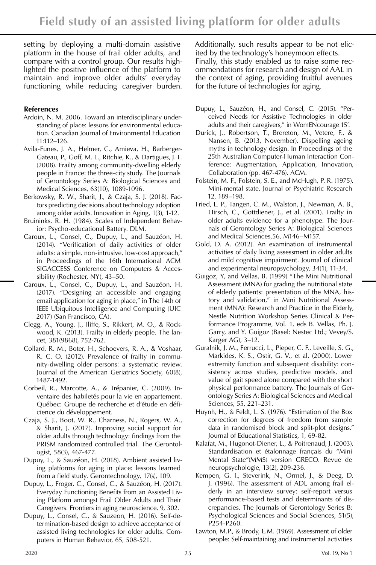setting by deploying a multi-domain assistive platform in the house of frail older adults, and compare with a control group. Our results highlighted the positive influence of the platform to maintain and improve older adults' everyday functioning while reducing caregiver burden.

## **References**

- Ardoin, N. M. 2006. Toward an interdisciplinary understanding of place: lessons for environmental education. Canadian Journal of Environmental Education 11:112–126.
- Avila-Funes, J. A., Helmer, C., Amieva, H., Barberger-Gateau, P., Goff, M. L., Ritchie, K., & Dartigues, J. F. (2008). Frailty among community-dwelling elderly people in France: the three-city study. The Journals of Gerontology Series A: Biological Sciences and Medical Sciences, 63(10), 1089-1096.
- Berkowsky, R. W., Sharit, J., & Czaja, S. J. (2018). Factors predicting decisions about technology adoption among older adults. Innovation in Aging, 1(3), 1-12.
- Bruininks, R. H. (1984). Scales of Independent Behavior: Psycho-educational Battery. DLM.
- Caroux, L., Consel, C., Dupuy, L., and Sauzéon, H. (2014). "Verification of daily activities of older adults: a simple, non-intrusive, low-cost approach," in Proceedings of the 16th International ACM SIGACCESS Conference on Computers & Accessibility (Rochester, NY), 43–50.
- Caroux, L., Consel, C., Dupuy, L., and Sauzéon, H. (2017). "Designing an accessible and engaging email application for aging in place," in The 14th of IEEE Ubiquitous Intelligence and Computing (UIC 2017) (San Francisco, CA).
- Clegg, A., Young, J., Iliffe, S., Rikkert, M. O., & Rockwood, K. (2013). Frailty in elderly people. The lancet, 381(9868), 752-762.
- Collard, R. M., Boter, H., Schoevers, R. A., & Voshaar, R. C. O. (2012). Prevalence of frailty in community-dwelling older persons: a systematic review. Journal of the American Geriatrics Society, 60(8), 1487-1492.
- Corbeil, R., Marcotte, A., & Trépanier, C. (2009). Inventaire des habiletés pour la vie en appartement. Québec: Groupe de recherche et d'étude en déficience du développement.
- Czaja, S. J., Boot, W. R., Charness, N., Rogers, W. A., & Sharit, J. (2017). Improving social support for older adults through technology: findings from the PRISM randomized controlled trial. The Gerontologist, 58(3), 467-477.
- Dupuy, L., & Sauzéon, H. (2018). Ambient assisted living platforms for aging in place: lessons learned from a field study. Gerontechnology, 17(s), 109.
- Dupuy, L., Froger, C., Consel, C., & Sauzéon, H. (2017). Everyday Functioning Benefits from an Assisted Living Platform amongst Frail Older Adults and Their Caregivers. Frontiers in aging neuroscience, 9, 302.
- Dupuy, L., Consel, C., & Sauzeon, H. (2016). Self-determination-based design to achieve acceptance of assisted living technologies for older adults. Computers in Human Behavior, 65, 508-521.

Additionally, such results appear to be not elicited by the technology's honeymoon effects. Finally, this study enabled us to raise some recommendations for research and design of AAL in the context of aging, providing fruitful avenues for the future of technologies for aging.

- Dupuy, L., Sauzéon, H., and Consel, C. (2015). "Perceived Needs for Assistive Technologies in older adults and their caregivers," in WomENcourage 15'.
- Durick, J., Robertson, T., Brereton, M., Vetere, F., & Nansen, B. (2013, November). Dispelling ageing myths in technology design. In Proceedings of the 25th Australian Computer-Human Interaction Conference: Augmentation, Application, Innovation, Collaboration (pp. 467-476). ACM.
- Folstein, M. F., Folstein, S. E., and McHugh, P. R. (1975). Mini-mental state. Journal of Psychiatric Research 12, 189–198.
- Fried, L. P., Tangen, C. M., Walston, J., Newman, A. B., Hirsch, C., Gottdiener, J., et al. (2001). Frailty in older adults evidence for a phenotype. The Journals of Gerontology Series A: Biological Sciences and Medical Sciences,56, M146–M157.
- Gold, D. A. (2012). An examination of instrumental activities of daily living assessment in older adults and mild cognitive impairment. Journal of clinical and experimental neuropsychology, 34(1), 11-34.
- Guigoz, Y, and Vellas, B. (1999) "The Mini Nutritional Assessment (MNA) for grading the nutritional state of elderly patients: presentation of the MNA, history and validation," in Mini Nutritional Assessment (MNA): Research and Practice in the Elderly, Nestle Nutrition Workshop Series Clinical & Performance Programme, Vol. 1, eds B. Vellas, Ph. J. Garry, and Y. Guigoz (Basel: Nestec Ltd.; Vevey/S. Karger AG), 3–12.
- Guralnik, J. M., Ferrucci, L., Pieper, C. F., Leveille, S. G., Markides, K. S., Ostir, G. V., et al. (2000). Lower extremity function and subsequent disability: consistency across studies, predictive models, and value of gait speed alone compared with the short physical performance battery. The Journals of Gerontology Series A: Biological Sciences and Medical Sciences, 55, 221–231.
- Huynh, H., & Feldt, L. S. (1976). "Estimation of the Box correction for degrees of freedom from sample data in randomised block and split-plot designs." Journal of Educational Statistics, 1, 69-82.
- Kalafat, M., Hugonot-Diener, L., & Poitrenaud, J. (2003). Standardisation et étalonnage français du "Mini Mental State"(MMS) version GRECO. Revue de neuropsychologie, 13(2), 209-236.
- Kempen, G. I., Steverink, N., Ormel, J., & Deeg, D. J. (1996). The assessment of ADL among frail elderly in an interview survey: self-report versus performance-based tests and determinants of discrepancies. The Journals of Gerontology Series B: Psychological Sciences and Social Sciences, 51(5), P254-P260.
- Lawton, M.P., & Brody, E.M. (1969). Assessment of older people: Self-maintaining and instrumental activities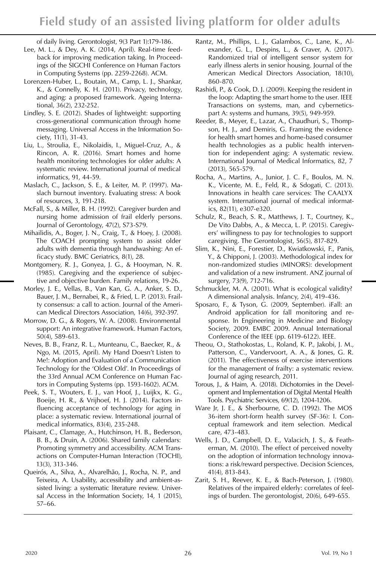of daily living. Gerontologist, 9(3 Part 1):179-186.

- Lee, M. L., & Dey, A. K. (2014, April). Real-time feedback for improving medication taking. In Proceedings of the SIGCHI Conference on Human Factors in Computing Systems (pp. 2259-2268). ACM.
- Lorenzen-Huber, L., Boutain, M., Camp, L. J., Shankar, K., & Connelly, K. H. (2011). Privacy, technology, and aging: a proposed framework. Ageing International, 36(2), 232-252.
- Lindley, S. E. (2012). Shades of lightweight: supporting cross-generational communication through home messaging. Universal Access in the Information Society, 11(1), 31-43.
- Liu, L., Stroulia, E., Nikolaidis, I., Miguel-Cruz, A., & Rincon, A. R. (2016). Smart homes and home health monitoring technologies for older adults: A systematic review. International journal of medical informatics, 91, 44-59.
- Maslach, C., Jackson, S. E., & Leiter, M. P. (1997). Maslach burnout inventory. Evaluating stress: A book of resources, 3, 191-218.
- McFall, S., & Miller, B. H. (1992). Caregiver burden and nursing home admission of frail elderly persons. Journal of Gerontology, 47(2), S73-S79.
- Mihailidis, A., Boger, J. N., Craig, T., & Hoey, J. (2008). The COACH prompting system to assist older adults with dementia through handwashing: An efficacy study. BMC Geriatrics, 8(1), 28.
- Montgomery, R. J., Gonyea, J. G., & Hooyman, N. R. (1985). Caregiving and the experience of subjective and objective burden. Family relations, 19-26.
- Morley, J. E., Vellas, B., Van Kan, G. A., Anker, S. D., Bauer, J. M., Bernabei, R., & Fried, L. P. (2013). Frailty consensus: a call to action. Journal of the American Medical Directors Association, 14(6), 392-397.
- Morrow, D. G., & Rogers, W. A. (2008). Environmental support: An integrative framework. Human Factors, 50(4), 589-613.
- Neves, B. B., Franz, R. L., Munteanu, C., Baecker, R., & Ngo, M. (2015, April). My Hand Doesn't Listen to Me!: Adoption and Evaluation of a Communication Technology for the 'Oldest Old'. In Proceedings of the 33rd Annual ACM Conference on Human Factors in Computing Systems (pp. 1593-1602). ACM.
- Peek, S. T., Wouters, E. J., van Hoof, J., Luijkx, K. G., Boeije, H. R., & Vrijhoef, H. J. (2014). Factors influencing acceptance of technology for aging in place: a systematic review. International journal of medical informatics, 83(4), 235-248.
- Plaisant, C., Clamage, A., Hutchinson, H. B., Bederson, B. B., & Druin, A. (2006). Shared family calendars: Promoting symmetry and accessibility. ACM Transactions on Computer-Human Interaction (TOCHI), 13(3), 313-346.
- Queirós, A., Silva, A., Alvarelhão, J., Rocha, N. P., and Teixeira, A. Usability, accessibility and ambient-assisted living: a systematic literature review. Universal Access in the Information Society, 14, 1 (2015), 57–66.
- Rantz, M., Phillips, L. J., Galambos, C., Lane, K., Alexander, G. L., Despins, L., & Craver, A. (2017). Randomized trial of intelligent sensor system for early illness alerts in senior housing. Journal of the American Medical Directors Association, 18(10), 860-870.
- Rashidi, P., & Cook, D. J. (2009). Keeping the resident in the loop: Adapting the smart home to the user. IEEE Transactions on systems, man, and cyberneticspart A: systems and humans, 39(5), 949-959.
- Reeder, B., Meyer, E., Lazar, A., Chaudhuri, S., Thompson, H. J., and Demiris, G. Framing the evidence for health smart homes and home-based consumer health technologies as a public health intervention for independent aging: A systematic review. International Journal of Medical Informatics, 82, 7 (2013), 565-579.
- Rocha, A., Martins, A., Junior, J. C. F., Boulos, M. N. K., Vicente, M. E., Feld, R., & Sdogati, C. (2013). Innovations in health care services: The CAALYX system. International journal of medical informatics, 82(11), e307-e320.
- Schulz, R., Beach, S. R., Matthews, J. T., Courtney, K., De Vito Dabbs, A., & Mecca, L. P. (2015). Caregivers' willingness to pay for technologies to support caregiving. The Gerontologist, 56(5), 817-829.
- Slim, K., Nini, E., Forestier, D., Kwiatkowski, F., Panis, Y., & Chipponi, J. (2003). Methodological index for non-randomized studies (MINORS): development and validation of a new instrument. ANZ journal of surgery, 73(9), 712-716.
- Schmuckler, M. A. (2001). What is ecological validity? A dimensional analysis. Infancy, 2(4), 419-436.
- Sposaro, F., & Tyson, G. (2009, September). iFall: an Android application for fall monitoring and response. In Engineering in Medicine and Biology Society, 2009. EMBC 2009. Annual International Conference of the IEEE (pp. 6119-6122). IEEE.
- Theou, O., Stathokostas, L., Roland, K. P., Jakobi, J. M., Patterson, C., Vandervoort, A. A., & Jones, G. R. (2011). The effectiveness of exercise interventions for the management of frailty: a systematic review. Journal of aging research, 2011.
- Torous, J., & Haim, A. (2018). Dichotomies in the Development and Implementation of Digital Mental Health Tools. Psychiatric Services, 69(12), 1204-1206.
- Ware Jr, J. E., & Sherbourne, C. D. (1992). The MOS 36-item short-form health survey (SF-36): I. Conceptual framework and item selection. Medical care, 473-483.
- Wells, J. D., Campbell, D. E., Valacich, J. S., & Featherman, M. (2010). The effect of perceived novelty on the adoption of information technology innovations: a risk/reward perspective. Decision Sciences, 41(4), 813-843.
- Zarit, S. H., Reever, K. E., & Bach-Peterson, J. (1980). Relatives of the impaired elderly: correlates of feelings of burden. The gerontologist, 20(6), 649-655.